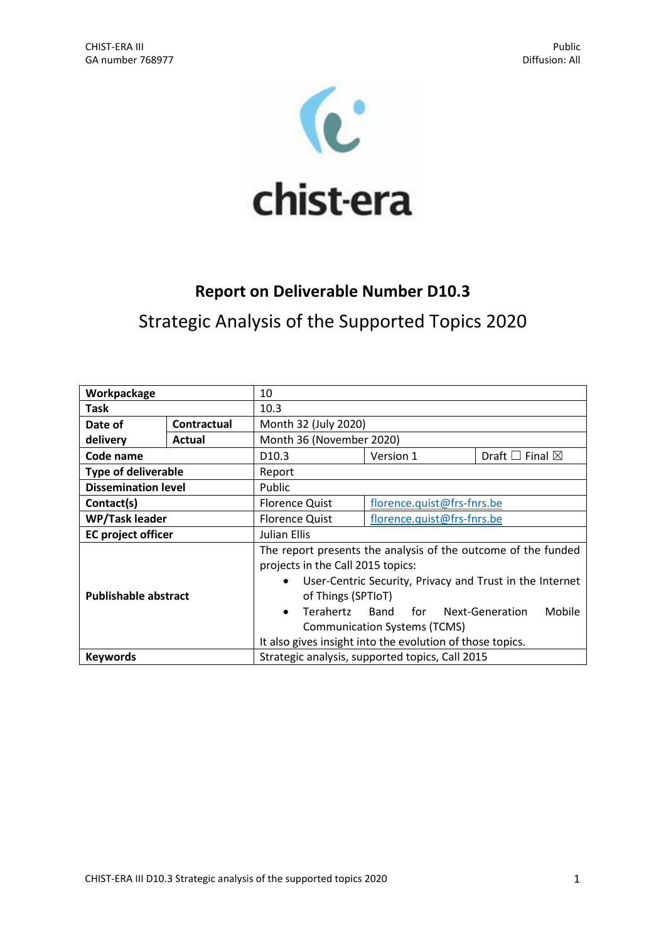

# **Report on Deliverable Number D10.3**

Strategic Analysis of the Supported Topics 2020

| Workpackage                                                        |             | 10                                                                                                                                                                                                                                                                                                                                                            |                            |                                |
|--------------------------------------------------------------------|-------------|---------------------------------------------------------------------------------------------------------------------------------------------------------------------------------------------------------------------------------------------------------------------------------------------------------------------------------------------------------------|----------------------------|--------------------------------|
| Task                                                               |             | 10.3                                                                                                                                                                                                                                                                                                                                                          |                            |                                |
| Date of                                                            | Contractual | Month 32 (July 2020)                                                                                                                                                                                                                                                                                                                                          |                            |                                |
| delivery                                                           | Actual      | Month 36 (November 2020)                                                                                                                                                                                                                                                                                                                                      |                            |                                |
| Code name                                                          |             | D <sub>10.3</sub>                                                                                                                                                                                                                                                                                                                                             | Version 1                  | Draft $\Box$ Final $\boxtimes$ |
| <b>Type of deliverable</b>                                         |             | Report                                                                                                                                                                                                                                                                                                                                                        |                            |                                |
| <b>Dissemination level</b>                                         |             | Public                                                                                                                                                                                                                                                                                                                                                        |                            |                                |
| Contact(s)                                                         |             | <b>Florence Quist</b>                                                                                                                                                                                                                                                                                                                                         | florence.quist@frs-fnrs.be |                                |
| <b>WP/Task leader</b>                                              |             | <b>Florence Quist</b>                                                                                                                                                                                                                                                                                                                                         | florence.quist@frs-fnrs.be |                                |
| <b>EC</b> project officer                                          |             | Julian Ellis                                                                                                                                                                                                                                                                                                                                                  |                            |                                |
| <b>Publishable abstract</b>                                        |             | The report presents the analysis of the outcome of the funded<br>projects in the Call 2015 topics:<br>User-Centric Security, Privacy and Trust in the Internet<br>٠<br>of Things (SPTIoT)<br>Terahertz Band<br>for Next-Generation<br>Mobile<br>$\bullet$<br><b>Communication Systems (TCMS)</b><br>It also gives insight into the evolution of those topics. |                            |                                |
| Strategic analysis, supported topics, Call 2015<br><b>Keywords</b> |             |                                                                                                                                                                                                                                                                                                                                                               |                            |                                |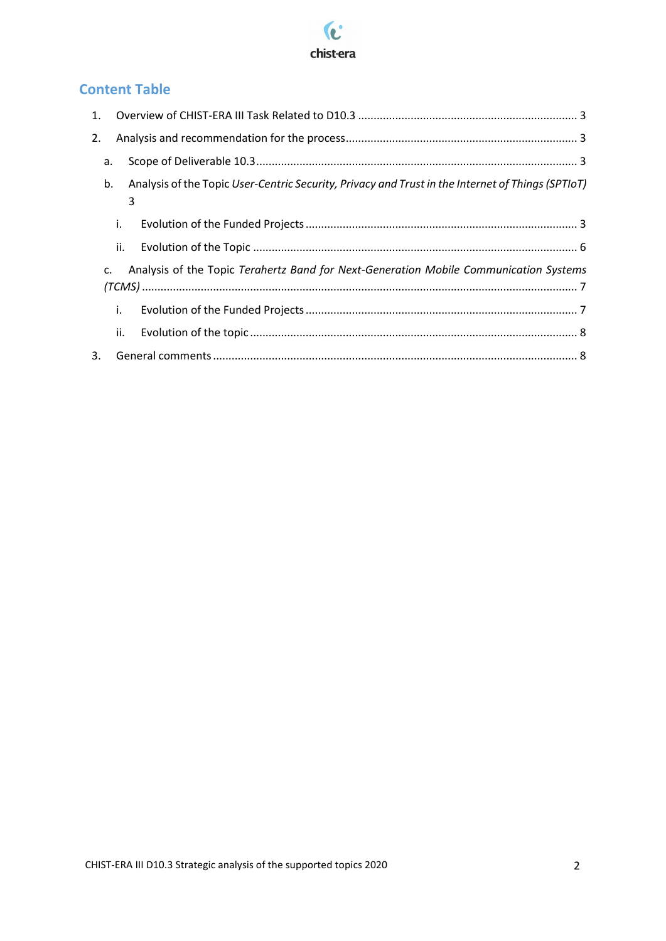

# **Content Table**

| 2. |     |                                                                                                        |
|----|-----|--------------------------------------------------------------------------------------------------------|
|    | a.  |                                                                                                        |
|    | b.  | Analysis of the Topic User-Centric Security, Privacy and Trust in the Internet of Things (SPTIoT)<br>3 |
|    | i.  |                                                                                                        |
|    | ii. |                                                                                                        |
|    | C.  | Analysis of the Topic Terahertz Band for Next-Generation Mobile Communication Systems                  |
|    | i.  |                                                                                                        |
|    | ii. |                                                                                                        |
| 3. |     |                                                                                                        |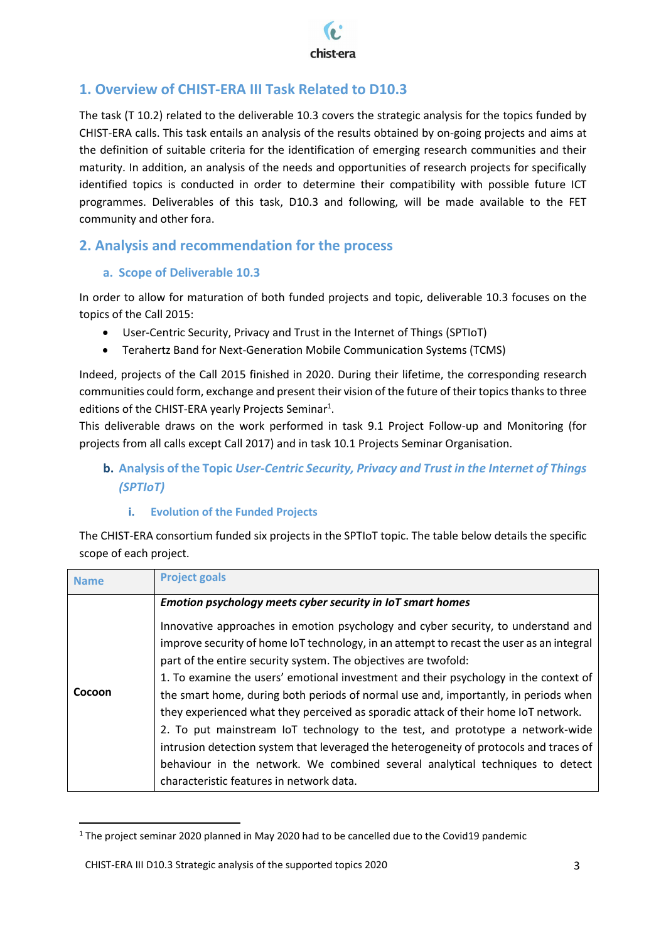

# <span id="page-2-0"></span>**1. Overview of CHIST-ERA III Task Related to D10.3**

The task (T 10.2) related to the deliverable 10.3 covers the strategic analysis for the topics funded by CHIST-ERA calls. This task entails an analysis of the results obtained by on-going projects and aims at the definition of suitable criteria for the identification of emerging research communities and their maturity. In addition, an analysis of the needs and opportunities of research projects for specifically identified topics is conducted in order to determine their compatibility with possible future ICT programmes. Deliverables of this task, D10.3 and following, will be made available to the FET community and other fora.

# <span id="page-2-1"></span>**2. Analysis and recommendation for the process**

### **a. Scope of Deliverable 10.3**

<span id="page-2-2"></span>In order to allow for maturation of both funded projects and topic, deliverable 10.3 focuses on the topics of the Call 2015:

- User-Centric Security, Privacy and Trust in the Internet of Things (SPTIoT)
- Terahertz Band for Next-Generation Mobile Communication Systems (TCMS)

Indeed, projects of the Call 2015 finished in 2020. During their lifetime, the corresponding research communities could form, exchange and present their vision of the future of their topics thanks to three editions of the CHIST-ERA yearly Projects Seminar<sup>1</sup>.

This deliverable draws on the work performed in task 9.1 Project Follow-up and Monitoring (for projects from all calls except Call 2017) and in task 10.1 Projects Seminar Organisation.

## <span id="page-2-3"></span>**b. Analysis of the Topic** *User-Centric Security, Privacy and Trust in the Internet of Things (SPTIoT)*

#### **i. Evolution of the Funded Projects**

<span id="page-2-4"></span>The CHIST-ERA consortium funded six projects in the SPTIoT topic. The table below details the specific scope of each project.

| <b>Name</b> | <b>Project goals</b>                                                                                                                                                                                                                                                                                                                                                                                                                                                                                                                                                                                                                                                                                                                                                                                                          |
|-------------|-------------------------------------------------------------------------------------------------------------------------------------------------------------------------------------------------------------------------------------------------------------------------------------------------------------------------------------------------------------------------------------------------------------------------------------------------------------------------------------------------------------------------------------------------------------------------------------------------------------------------------------------------------------------------------------------------------------------------------------------------------------------------------------------------------------------------------|
|             | Emotion psychology meets cyber security in IoT smart homes                                                                                                                                                                                                                                                                                                                                                                                                                                                                                                                                                                                                                                                                                                                                                                    |
| Cocoon      | Innovative approaches in emotion psychology and cyber security, to understand and<br>improve security of home IoT technology, in an attempt to recast the user as an integral<br>part of the entire security system. The objectives are twofold:<br>1. To examine the users' emotional investment and their psychology in the context of<br>the smart home, during both periods of normal use and, importantly, in periods when<br>they experienced what they perceived as sporadic attack of their home IoT network.<br>2. To put mainstream IoT technology to the test, and prototype a network-wide<br>intrusion detection system that leveraged the heterogeneity of protocols and traces of<br>behaviour in the network. We combined several analytical techniques to detect<br>characteristic features in network data. |

 $1$  The project seminar 2020 planned in May 2020 had to be cancelled due to the Covid19 pandemic

l

CHIST-ERA III D10.3 Strategic analysis of the supported topics 2020 3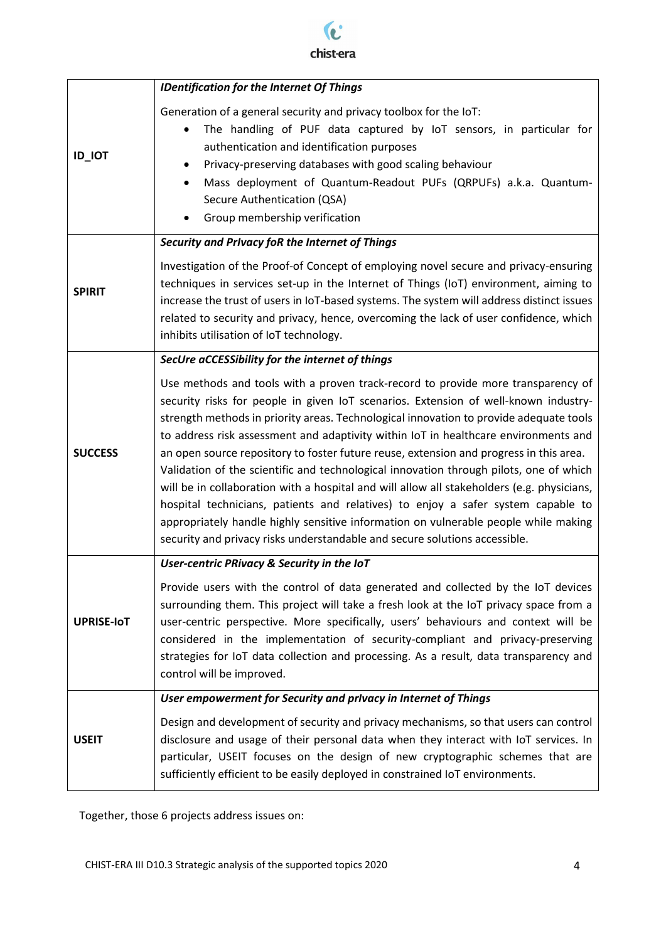

|                   | <b>IDentification for the Internet Of Things</b>                                                                                                                                                                                                                                                                                                                                                                                                                                                                                                                                                                                                                                                                                                                                                                                                                                                    |  |  |
|-------------------|-----------------------------------------------------------------------------------------------------------------------------------------------------------------------------------------------------------------------------------------------------------------------------------------------------------------------------------------------------------------------------------------------------------------------------------------------------------------------------------------------------------------------------------------------------------------------------------------------------------------------------------------------------------------------------------------------------------------------------------------------------------------------------------------------------------------------------------------------------------------------------------------------------|--|--|
| <b>ID_IOT</b>     | Generation of a general security and privacy toolbox for the IoT:<br>The handling of PUF data captured by IoT sensors, in particular for<br>authentication and identification purposes<br>Privacy-preserving databases with good scaling behaviour<br>Mass deployment of Quantum-Readout PUFs (QRPUFs) a.k.a. Quantum-<br>٠<br>Secure Authentication (QSA)<br>Group membership verification                                                                                                                                                                                                                                                                                                                                                                                                                                                                                                         |  |  |
|                   | Security and Privacy foR the Internet of Things                                                                                                                                                                                                                                                                                                                                                                                                                                                                                                                                                                                                                                                                                                                                                                                                                                                     |  |  |
| <b>SPIRIT</b>     | Investigation of the Proof-of Concept of employing novel secure and privacy-ensuring<br>techniques in services set-up in the Internet of Things (IoT) environment, aiming to<br>increase the trust of users in IoT-based systems. The system will address distinct issues<br>related to security and privacy, hence, overcoming the lack of user confidence, which<br>inhibits utilisation of IoT technology.                                                                                                                                                                                                                                                                                                                                                                                                                                                                                       |  |  |
|                   | SecUre aCCESSibility for the internet of things                                                                                                                                                                                                                                                                                                                                                                                                                                                                                                                                                                                                                                                                                                                                                                                                                                                     |  |  |
| <b>SUCCESS</b>    | Use methods and tools with a proven track-record to provide more transparency of<br>security risks for people in given IoT scenarios. Extension of well-known industry-<br>strength methods in priority areas. Technological innovation to provide adequate tools<br>to address risk assessment and adaptivity within IoT in healthcare environments and<br>an open source repository to foster future reuse, extension and progress in this area.<br>Validation of the scientific and technological innovation through pilots, one of which<br>will be in collaboration with a hospital and will allow all stakeholders (e.g. physicians,<br>hospital technicians, patients and relatives) to enjoy a safer system capable to<br>appropriately handle highly sensitive information on vulnerable people while making<br>security and privacy risks understandable and secure solutions accessible. |  |  |
|                   | User-centric PRivacy & Security in the IoT                                                                                                                                                                                                                                                                                                                                                                                                                                                                                                                                                                                                                                                                                                                                                                                                                                                          |  |  |
| <b>UPRISE-IOT</b> | Provide users with the control of data generated and collected by the IoT devices<br>surrounding them. This project will take a fresh look at the IoT privacy space from a<br>user-centric perspective. More specifically, users' behaviours and context will be<br>considered in the implementation of security-compliant and privacy-preserving<br>strategies for IoT data collection and processing. As a result, data transparency and<br>control will be improved.                                                                                                                                                                                                                                                                                                                                                                                                                             |  |  |
|                   | User empowerment for Security and privacy in Internet of Things                                                                                                                                                                                                                                                                                                                                                                                                                                                                                                                                                                                                                                                                                                                                                                                                                                     |  |  |
| <b>USEIT</b>      | Design and development of security and privacy mechanisms, so that users can control<br>disclosure and usage of their personal data when they interact with IoT services. In<br>particular, USEIT focuses on the design of new cryptographic schemes that are<br>sufficiently efficient to be easily deployed in constrained IoT environments.                                                                                                                                                                                                                                                                                                                                                                                                                                                                                                                                                      |  |  |

Together, those 6 projects address issues on: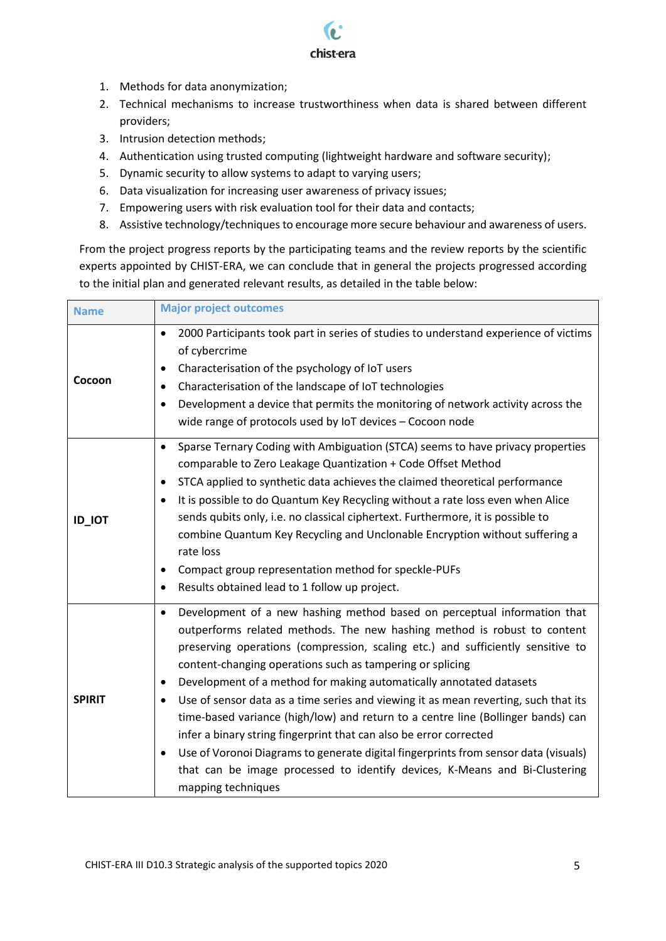

- 1. Methods for data anonymization;
- 2. Technical mechanisms to increase trustworthiness when data is shared between different providers;
- 3. Intrusion detection methods;
- 4. Authentication using trusted computing (lightweight hardware and software security);
- 5. Dynamic security to allow systems to adapt to varying users;
- 6. Data visualization for increasing user awareness of privacy issues;
- 7. Empowering users with risk evaluation tool for their data and contacts;
- 8. Assistive technology/techniques to encourage more secure behaviour and awareness of users.

From the project progress reports by the participating teams and the review reports by the scientific experts appointed by CHIST-ERA, we can conclude that in general the projects progressed according to the initial plan and generated relevant results, as detailed in the table below:

| <b>Name</b>   | <b>Major project outcomes</b>                                                                                                                                                                                                                                                                                                                                                                                                                                                                                                                                                                                                                                                                                                                                                                                                                          |  |  |
|---------------|--------------------------------------------------------------------------------------------------------------------------------------------------------------------------------------------------------------------------------------------------------------------------------------------------------------------------------------------------------------------------------------------------------------------------------------------------------------------------------------------------------------------------------------------------------------------------------------------------------------------------------------------------------------------------------------------------------------------------------------------------------------------------------------------------------------------------------------------------------|--|--|
| Cocoon        | 2000 Participants took part in series of studies to understand experience of victims<br>$\bullet$<br>of cybercrime<br>Characterisation of the psychology of IoT users<br>Characterisation of the landscape of IoT technologies<br>Development a device that permits the monitoring of network activity across the<br>$\bullet$<br>wide range of protocols used by IoT devices - Cocoon node                                                                                                                                                                                                                                                                                                                                                                                                                                                            |  |  |
| <b>ID_IOT</b> | Sparse Ternary Coding with Ambiguation (STCA) seems to have privacy properties<br>$\bullet$<br>comparable to Zero Leakage Quantization + Code Offset Method<br>STCA applied to synthetic data achieves the claimed theoretical performance<br>$\bullet$<br>It is possible to do Quantum Key Recycling without a rate loss even when Alice<br>sends qubits only, i.e. no classical ciphertext. Furthermore, it is possible to<br>combine Quantum Key Recycling and Unclonable Encryption without suffering a<br>rate loss<br>Compact group representation method for speckle-PUFs<br>Results obtained lead to 1 follow up project.<br>$\bullet$                                                                                                                                                                                                         |  |  |
| <b>SPIRIT</b> | Development of a new hashing method based on perceptual information that<br>$\bullet$<br>outperforms related methods. The new hashing method is robust to content<br>preserving operations (compression, scaling etc.) and sufficiently sensitive to<br>content-changing operations such as tampering or splicing<br>Development of a method for making automatically annotated datasets<br>٠<br>Use of sensor data as a time series and viewing it as mean reverting, such that its<br>time-based variance (high/low) and return to a centre line (Bollinger bands) can<br>infer a binary string fingerprint that can also be error corrected<br>Use of Voronoi Diagrams to generate digital fingerprints from sensor data (visuals)<br>$\bullet$<br>that can be image processed to identify devices, K-Means and Bi-Clustering<br>mapping techniques |  |  |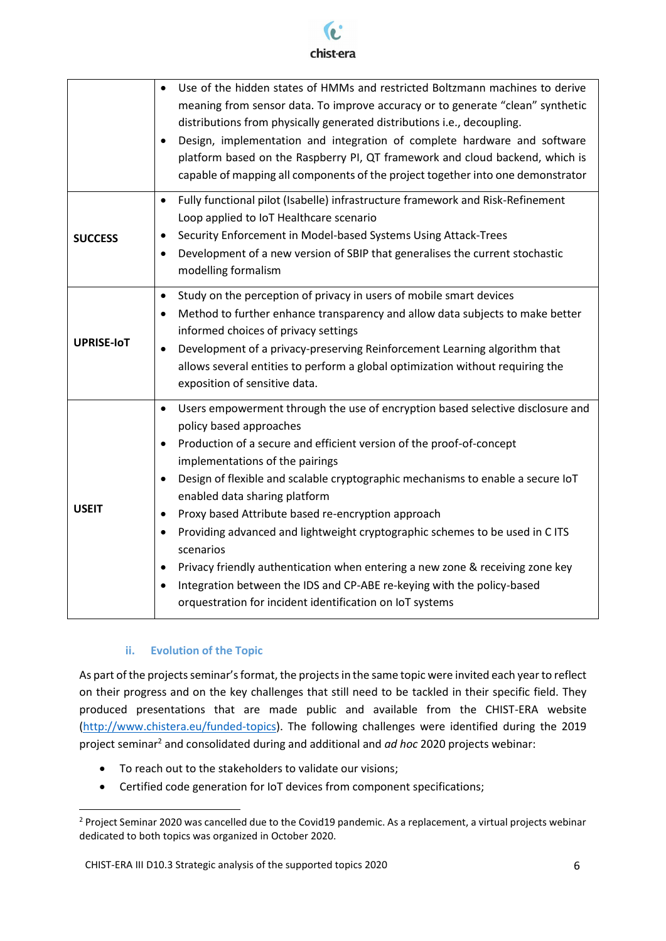

|                   | Use of the hidden states of HMMs and restricted Boltzmann machines to derive<br>$\bullet$<br>meaning from sensor data. To improve accuracy or to generate "clean" synthetic<br>distributions from physically generated distributions i.e., decoupling.<br>Design, implementation and integration of complete hardware and software<br>platform based on the Raspberry PI, QT framework and cloud backend, which is<br>capable of mapping all components of the project together into one demonstrator                                                                                                                                                                                                                                                                  |
|-------------------|------------------------------------------------------------------------------------------------------------------------------------------------------------------------------------------------------------------------------------------------------------------------------------------------------------------------------------------------------------------------------------------------------------------------------------------------------------------------------------------------------------------------------------------------------------------------------------------------------------------------------------------------------------------------------------------------------------------------------------------------------------------------|
| <b>SUCCESS</b>    | Fully functional pilot (Isabelle) infrastructure framework and Risk-Refinement<br>$\bullet$<br>Loop applied to IoT Healthcare scenario<br>Security Enforcement in Model-based Systems Using Attack-Trees<br>$\bullet$<br>Development of a new version of SBIP that generalises the current stochastic<br>modelling formalism                                                                                                                                                                                                                                                                                                                                                                                                                                           |
| <b>UPRISE-IOT</b> | Study on the perception of privacy in users of mobile smart devices<br>$\bullet$<br>Method to further enhance transparency and allow data subjects to make better<br>$\bullet$<br>informed choices of privacy settings<br>Development of a privacy-preserving Reinforcement Learning algorithm that<br>$\bullet$<br>allows several entities to perform a global optimization without requiring the<br>exposition of sensitive data.                                                                                                                                                                                                                                                                                                                                    |
| <b>USEIT</b>      | Users empowerment through the use of encryption based selective disclosure and<br>$\bullet$<br>policy based approaches<br>Production of a secure and efficient version of the proof-of-concept<br>$\bullet$<br>implementations of the pairings<br>Design of flexible and scalable cryptographic mechanisms to enable a secure IoT<br>enabled data sharing platform<br>Proxy based Attribute based re-encryption approach<br>$\bullet$<br>Providing advanced and lightweight cryptographic schemes to be used in C ITS<br>scenarios<br>Privacy friendly authentication when entering a new zone & receiving zone key<br>$\bullet$<br>Integration between the IDS and CP-ABE re-keying with the policy-based<br>orquestration for incident identification on IoT systems |

#### **ii. Evolution of the Topic**

 $\overline{a}$ 

<span id="page-5-0"></span>As part of the projects seminar's format, the projects in the same topic were invited each year to reflect on their progress and on the key challenges that still need to be tackled in their specific field. They produced presentations that are made public and available from the CHIST-ERA website [\(http://www.chistera.eu/funded-topics\)](http://www.chistera.eu/funded-topics). The following challenges were identified during the 2019 project seminar<sup>2</sup> and consolidated during and additional and *ad hoc* 2020 projects webinar:

- To reach out to the stakeholders to validate our visions;
- Certified code generation for IoT devices from component specifications;

<sup>&</sup>lt;sup>2</sup> Project Seminar 2020 was cancelled due to the Covid19 pandemic. As a replacement, a virtual projects webinar dedicated to both topics was organized in October 2020.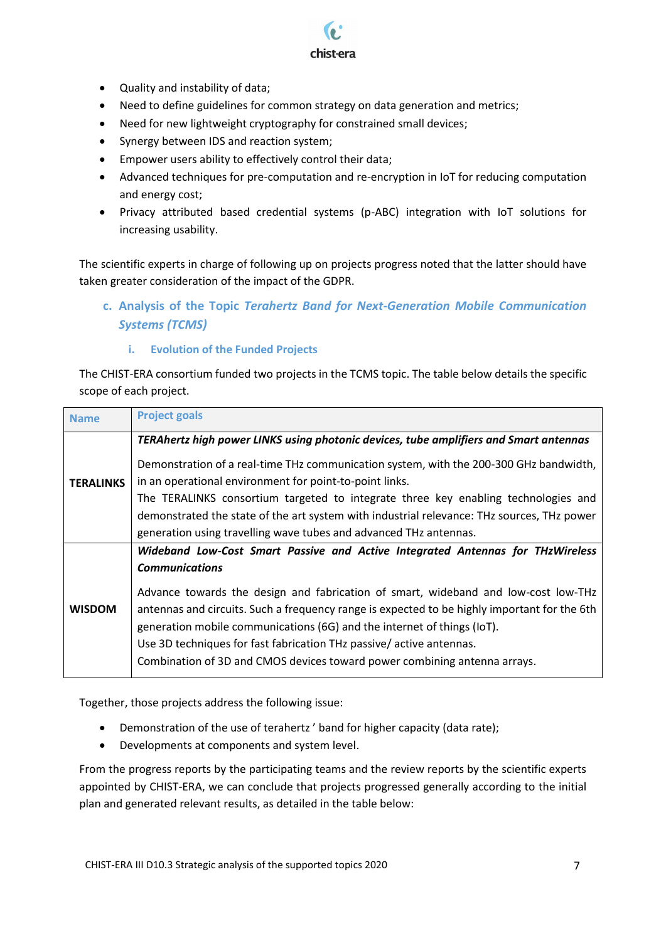- Quality and instability of data;
- Need to define guidelines for common strategy on data generation and metrics;

chist-era

- Need for new lightweight cryptography for constrained small devices;
- Synergy between IDS and reaction system;
- Empower users ability to effectively control their data;
- Advanced techniques for pre-computation and re-encryption in IoT for reducing computation and energy cost;
- Privacy attributed based credential systems (p-ABC) integration with IoT solutions for increasing usability.

The scientific experts in charge of following up on projects progress noted that the latter should have taken greater consideration of the impact of the GDPR.

<span id="page-6-0"></span>**c. Analysis of the Topic** *Terahertz Band for Next-Generation Mobile Communication Systems (TCMS)*

#### **i. Evolution of the Funded Projects**

<span id="page-6-1"></span>The CHIST-ERA consortium funded two projects in the TCMS topic. The table below details the specific scope of each project.

| <b>Name</b>      | <b>Project goals</b>                                                                         |
|------------------|----------------------------------------------------------------------------------------------|
|                  | TERAhertz high power LINKS using photonic devices, tube amplifiers and Smart antennas        |
|                  | Demonstration of a real-time THz communication system, with the 200-300 GHz bandwidth,       |
| <b>TERALINKS</b> | in an operational environment for point-to-point links.                                      |
|                  | The TERALINKS consortium targeted to integrate three key enabling technologies and           |
|                  | demonstrated the state of the art system with industrial relevance: THz sources, THz power   |
|                  | generation using travelling wave tubes and advanced THz antennas.                            |
|                  | Wideband Low-Cost Smart Passive and Active Integrated Antennas for THzWireless               |
|                  | <b>Communications</b>                                                                        |
|                  | Advance towards the design and fabrication of smart, wideband and low-cost low-THz           |
| <b>WISDOM</b>    | antennas and circuits. Such a frequency range is expected to be highly important for the 6th |
|                  | generation mobile communications (6G) and the internet of things (IoT).                      |
|                  | Use 3D techniques for fast fabrication THz passive/active antennas.                          |
|                  | Combination of 3D and CMOS devices toward power combining antenna arrays.                    |

Together, those projects address the following issue:

- Demonstration of the use of terahertz ' band for higher capacity (data rate);
- Developments at components and system level.

From the progress reports by the participating teams and the review reports by the scientific experts appointed by CHIST-ERA, we can conclude that projects progressed generally according to the initial plan and generated relevant results, as detailed in the table below: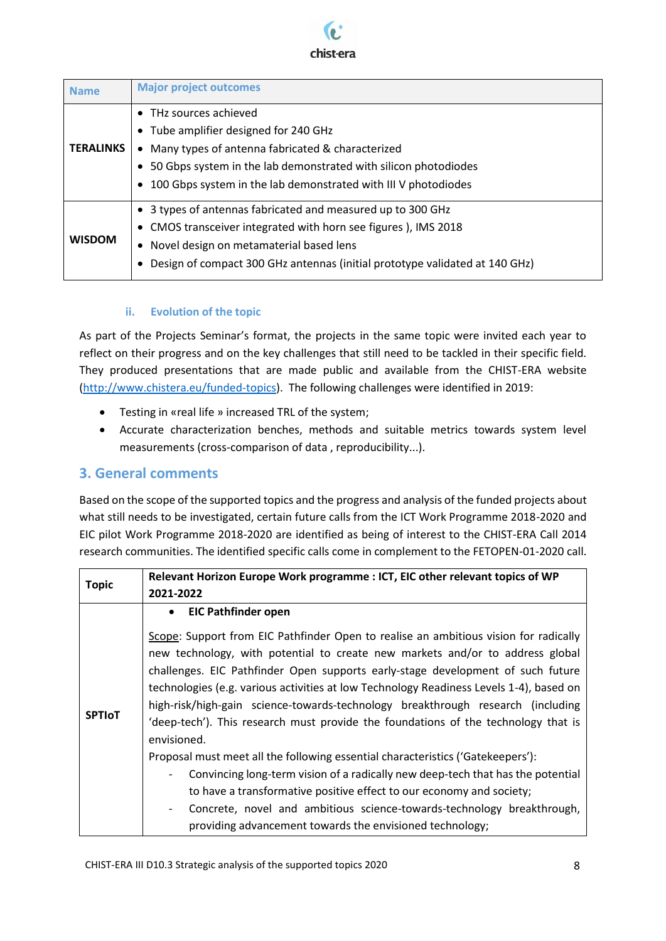

| <b>Name</b>      | <b>Major project outcomes</b>                                                                                                                                                                                                                                         |
|------------------|-----------------------------------------------------------------------------------------------------------------------------------------------------------------------------------------------------------------------------------------------------------------------|
| <b>TERALINKS</b> | • THz sources achieved<br>• Tube amplifier designed for 240 GHz<br>Many types of antenna fabricated & characterized<br>$\bullet$<br>50 Gbps system in the lab demonstrated with silicon photodiodes<br>100 Gbps system in the lab demonstrated with III V photodiodes |
| <b>WISDOM</b>    | 3 types of antennas fabricated and measured up to 300 GHz<br>• CMOS transceiver integrated with horn see figures), IMS 2018<br>Novel design on metamaterial based lens<br>٠<br>Design of compact 300 GHz antennas (initial prototype validated at 140 GHz)            |

#### **ii. Evolution of the topic**

<span id="page-7-0"></span>As part of the Projects Seminar's format, the projects in the same topic were invited each year to reflect on their progress and on the key challenges that still need to be tackled in their specific field. They produced presentations that are made public and available from the CHIST-ERA website [\(http://www.chistera.eu/funded-topics\)](http://www.chistera.eu/funded-topics). The following challenges were identified in 2019:

- **•** Testing in «real life » increased TRL of the system;
- Accurate characterization benches, methods and suitable metrics towards system level measurements (cross-comparison of data , reproducibility...).

### <span id="page-7-1"></span>**3. General comments**

Based on the scope of the supported topics and the progress and analysis of the funded projects about what still needs to be investigated, certain future calls from the ICT Work Programme 2018-2020 and EIC pilot Work Programme 2018-2020 are identified as being of interest to the CHIST-ERA Call 2014 research communities. The identified specific calls come in complement to the FETOPEN-01-2020 call.

|               | Relevant Horizon Europe Work programme : ICT, EIC other relevant topics of WP                                                                                                                                                                                                                                                                                                                                                                                                                                                               |  |  |
|---------------|---------------------------------------------------------------------------------------------------------------------------------------------------------------------------------------------------------------------------------------------------------------------------------------------------------------------------------------------------------------------------------------------------------------------------------------------------------------------------------------------------------------------------------------------|--|--|
| <b>Topic</b>  | 2021-2022                                                                                                                                                                                                                                                                                                                                                                                                                                                                                                                                   |  |  |
| <b>SPTIOT</b> | • EIC Pathfinder open                                                                                                                                                                                                                                                                                                                                                                                                                                                                                                                       |  |  |
|               | Scope: Support from EIC Pathfinder Open to realise an ambitious vision for radically<br>new technology, with potential to create new markets and/or to address global<br>challenges. EIC Pathfinder Open supports early-stage development of such future<br>technologies (e.g. various activities at low Technology Readiness Levels 1-4), based on<br>high-risk/high-gain science-towards-technology breakthrough research (including<br>'deep-tech'). This research must provide the foundations of the technology that is<br>envisioned. |  |  |
|               | Proposal must meet all the following essential characteristics ('Gatekeepers'):                                                                                                                                                                                                                                                                                                                                                                                                                                                             |  |  |
|               | Convincing long-term vision of a radically new deep-tech that has the potential<br>$\overline{\phantom{a}}$                                                                                                                                                                                                                                                                                                                                                                                                                                 |  |  |
|               | to have a transformative positive effect to our economy and society;                                                                                                                                                                                                                                                                                                                                                                                                                                                                        |  |  |
|               | Concrete, novel and ambitious science-towards-technology breakthrough,<br>$\overline{\phantom{a}}$                                                                                                                                                                                                                                                                                                                                                                                                                                          |  |  |
|               | providing advancement towards the envisioned technology;                                                                                                                                                                                                                                                                                                                                                                                                                                                                                    |  |  |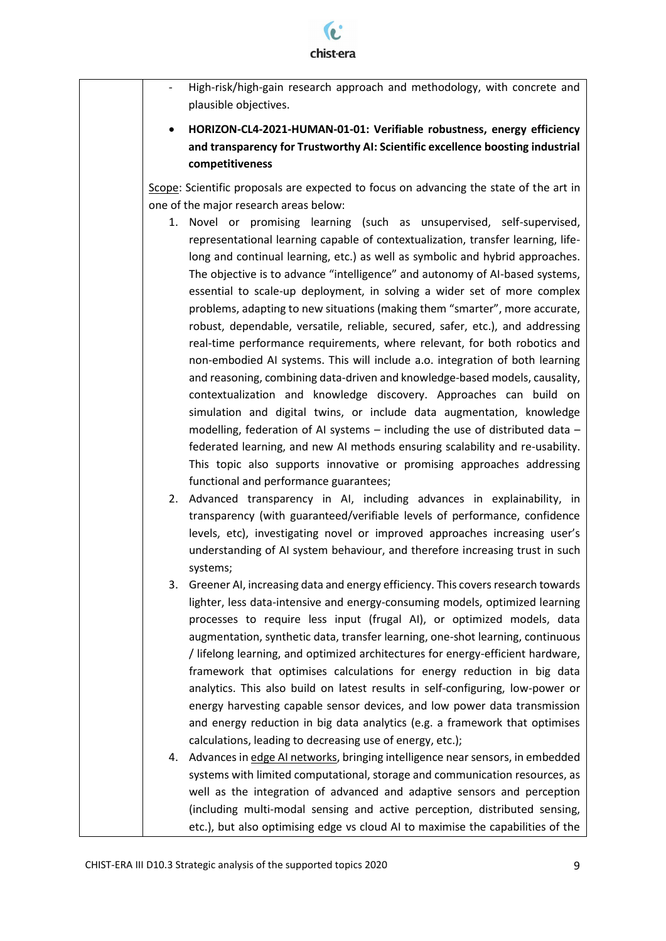

| High-risk/high-gain research approach and methodology, with concrete and<br>plausible objectives.                                                                                                                                                                                                                                                                                                                                                                                                                                                                                                                                                                                                                |
|------------------------------------------------------------------------------------------------------------------------------------------------------------------------------------------------------------------------------------------------------------------------------------------------------------------------------------------------------------------------------------------------------------------------------------------------------------------------------------------------------------------------------------------------------------------------------------------------------------------------------------------------------------------------------------------------------------------|
| HORIZON-CL4-2021-HUMAN-01-01: Verifiable robustness, energy efficiency<br>and transparency for Trustworthy AI: Scientific excellence boosting industrial<br>competitiveness                                                                                                                                                                                                                                                                                                                                                                                                                                                                                                                                      |
|                                                                                                                                                                                                                                                                                                                                                                                                                                                                                                                                                                                                                                                                                                                  |
| Scope: Scientific proposals are expected to focus on advancing the state of the art in                                                                                                                                                                                                                                                                                                                                                                                                                                                                                                                                                                                                                           |
| one of the major research areas below:                                                                                                                                                                                                                                                                                                                                                                                                                                                                                                                                                                                                                                                                           |
| 1. Novel or promising learning (such as unsupervised, self-supervised,<br>representational learning capable of contextualization, transfer learning, life-<br>long and continual learning, etc.) as well as symbolic and hybrid approaches.                                                                                                                                                                                                                                                                                                                                                                                                                                                                      |
| The objective is to advance "intelligence" and autonomy of AI-based systems,                                                                                                                                                                                                                                                                                                                                                                                                                                                                                                                                                                                                                                     |
| essential to scale-up deployment, in solving a wider set of more complex                                                                                                                                                                                                                                                                                                                                                                                                                                                                                                                                                                                                                                         |
| problems, adapting to new situations (making them "smarter", more accurate,                                                                                                                                                                                                                                                                                                                                                                                                                                                                                                                                                                                                                                      |
| robust, dependable, versatile, reliable, secured, safer, etc.), and addressing<br>real-time performance requirements, where relevant, for both robotics and<br>non-embodied AI systems. This will include a.o. integration of both learning                                                                                                                                                                                                                                                                                                                                                                                                                                                                      |
| and reasoning, combining data-driven and knowledge-based models, causality,<br>contextualization and knowledge discovery. Approaches can build on<br>simulation and digital twins, or include data augmentation, knowledge<br>modelling, federation of AI systems $-$ including the use of distributed data $-$<br>federated learning, and new AI methods ensuring scalability and re-usability.<br>This topic also supports innovative or promising approaches addressing                                                                                                                                                                                                                                       |
| functional and performance guarantees;                                                                                                                                                                                                                                                                                                                                                                                                                                                                                                                                                                                                                                                                           |
| Advanced transparency in AI, including advances in explainability, in<br>2.<br>transparency (with guaranteed/verifiable levels of performance, confidence<br>levels, etc), investigating novel or improved approaches increasing user's<br>understanding of AI system behaviour, and therefore increasing trust in such<br>systems;                                                                                                                                                                                                                                                                                                                                                                              |
| Greener AI, increasing data and energy efficiency. This covers research towards<br>3.                                                                                                                                                                                                                                                                                                                                                                                                                                                                                                                                                                                                                            |
| lighter, less data-intensive and energy-consuming models, optimized learning<br>processes to require less input (frugal AI), or optimized models, data<br>augmentation, synthetic data, transfer learning, one-shot learning, continuous<br>/ lifelong learning, and optimized architectures for energy-efficient hardware,<br>framework that optimises calculations for energy reduction in big data<br>analytics. This also build on latest results in self-configuring, low-power or<br>energy harvesting capable sensor devices, and low power data transmission<br>and energy reduction in big data analytics (e.g. a framework that optimises<br>calculations, leading to decreasing use of energy, etc.); |
| Advances in edge AI networks, bringing intelligence near sensors, in embedded<br>4.<br>systems with limited computational, storage and communication resources, as<br>well as the integration of advanced and adaptive sensors and perception<br>(including multi-modal sensing and active perception, distributed sensing,<br>etc.), but also optimising edge vs cloud AI to maximise the capabilities of the                                                                                                                                                                                                                                                                                                   |
|                                                                                                                                                                                                                                                                                                                                                                                                                                                                                                                                                                                                                                                                                                                  |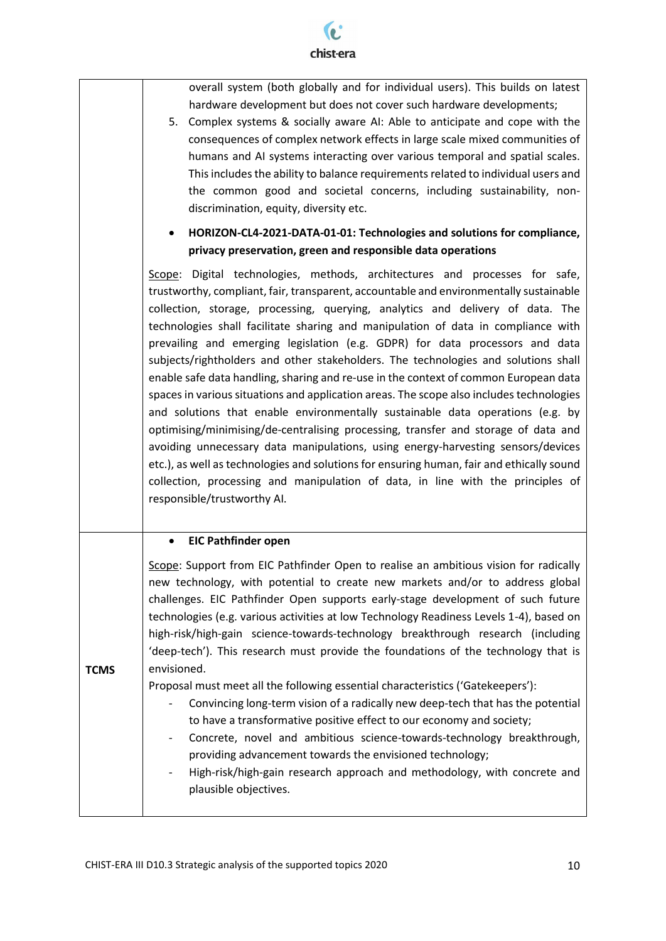

overall system (both globally and for individual users). This builds on latest hardware development but does not cover such hardware developments;

5. Complex systems & socially aware AI: Able to anticipate and cope with the consequences of complex network effects in large scale mixed communities of humans and AI systems interacting over various temporal and spatial scales. This includes the ability to balance requirements related to individual users and the common good and societal concerns, including sustainability, nondiscrimination, equity, diversity etc.

### **HORIZON-CL4-2021-DATA-01-01: Technologies and solutions for compliance, privacy preservation, green and responsible data operations**

Scope: Digital technologies, methods, architectures and processes for safe, trustworthy, compliant, fair, transparent, accountable and environmentally sustainable collection, storage, processing, querying, analytics and delivery of data. The technologies shall facilitate sharing and manipulation of data in compliance with prevailing and emerging legislation (e.g. GDPR) for data processors and data subjects/rightholders and other stakeholders. The technologies and solutions shall enable safe data handling, sharing and re-use in the context of common European data spaces in various situations and application areas. The scope also includes technologies and solutions that enable environmentally sustainable data operations (e.g. by optimising/minimising/de-centralising processing, transfer and storage of data and avoiding unnecessary data manipulations, using energy-harvesting sensors/devices etc.), as well as technologies and solutions for ensuring human, fair and ethically sound collection, processing and manipulation of data, in line with the principles of responsible/trustworthy AI.

#### **EIC Pathfinder open**

**TCMS**

Scope: Support from EIC Pathfinder Open to realise an ambitious vision for radically new technology, with potential to create new markets and/or to address global challenges. EIC Pathfinder Open supports early-stage development of such future technologies (e.g. various activities at low Technology Readiness Levels 1-4), based on high-risk/high-gain science-towards-technology breakthrough research (including 'deep-tech'). This research must provide the foundations of the technology that is envisioned.

Proposal must meet all the following essential characteristics ('Gatekeepers'):

- Convincing long-term vision of a radically new deep-tech that has the potential to have a transformative positive effect to our economy and society;
- Concrete, novel and ambitious science-towards-technology breakthrough, providing advancement towards the envisioned technology;
- High-risk/high-gain research approach and methodology, with concrete and plausible objectives.